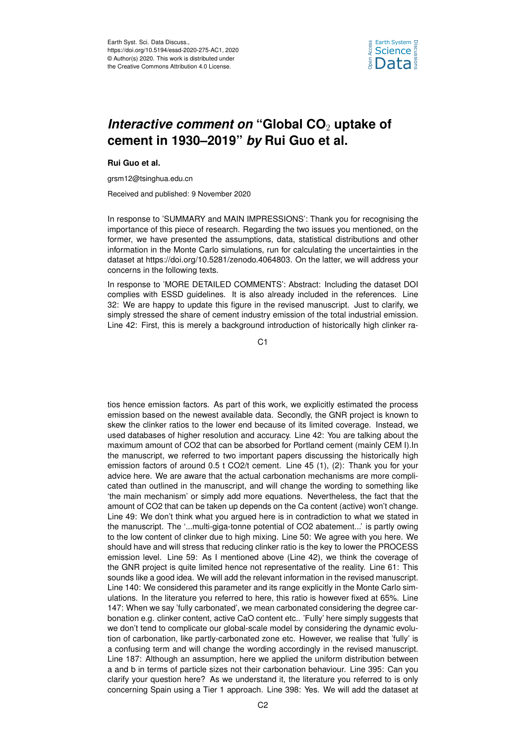

## *Interactive comment on "Global CO<sub>2</sub> uptake of* **cement in 1930–2019"** *by* **Rui Guo et al.**

**Rui Guo et al.**

grsm12@tsinghua.edu.cn

Received and published: 9 November 2020

In response to 'SUMMARY and MAIN IMPRESSIONS': Thank you for recognising the importance of this piece of research. Regarding the two issues you mentioned, on the former, we have presented the assumptions, data, statistical distributions and other information in the Monte Carlo simulations, run for calculating the uncertainties in the dataset at https://doi.org/10.5281/zenodo.4064803. On the latter, we will address your concerns in the following texts.

In response to 'MORE DETAILED COMMENTS': Abstract: Including the dataset DOI complies with ESSD guidelines. It is also already included in the references. Line 32: We are happy to update this figure in the revised manuscript. Just to clarify, we simply stressed the share of cement industry emission of the total industrial emission. Line 42: First, this is merely a background introduction of historically high clinker ra-

C1

tios hence emission factors. As part of this work, we explicitly estimated the process emission based on the newest available data. Secondly, the GNR project is known to skew the clinker ratios to the lower end because of its limited coverage. Instead, we used databases of higher resolution and accuracy. Line 42: You are talking about the maximum amount of CO2 that can be absorbed for Portland cement (mainly CEM I).In the manuscript, we referred to two important papers discussing the historically high emission factors of around 0.5 t CO2/t cement. Line 45 (1), (2): Thank you for your advice here. We are aware that the actual carbonation mechanisms are more complicated than outlined in the manuscript, and will change the wording to something like 'the main mechanism' or simply add more equations. Nevertheless, the fact that the amount of CO2 that can be taken up depends on the Ca content (active) won't change. Line 49: We don't think what you argued here is in contradiction to what we stated in the manuscript. The '...multi-giga-tonne potential of CO2 abatement...' is partly owing to the low content of clinker due to high mixing. Line 50: We agree with you here. We should have and will stress that reducing clinker ratio is the key to lower the PROCESS emission level. Line 59: As I mentioned above (Line 42), we think the coverage of the GNR project is quite limited hence not representative of the reality. Line 61: This sounds like a good idea. We will add the relevant information in the revised manuscript. Line 140: We considered this parameter and its range explicitly in the Monte Carlo simulations. In the literature you referred to here, this ratio is however fixed at 65%. Line 147: When we say 'fully carbonated', we mean carbonated considering the degree carbonation e.g. clinker content, active CaO content etc.. 'Fully' here simply suggests that we don't tend to complicate our global-scale model by considering the dynamic evolution of carbonation, like partly-carbonated zone etc. However, we realise that 'fully' is a confusing term and will change the wording accordingly in the revised manuscript. Line 187: Although an assumption, here we applied the uniform distribution between a and b in terms of particle sizes not their carbonation behaviour. Line 395: Can you clarify your question here? As we understand it, the literature you referred to is only concerning Spain using a Tier 1 approach. Line 398: Yes. We will add the dataset at